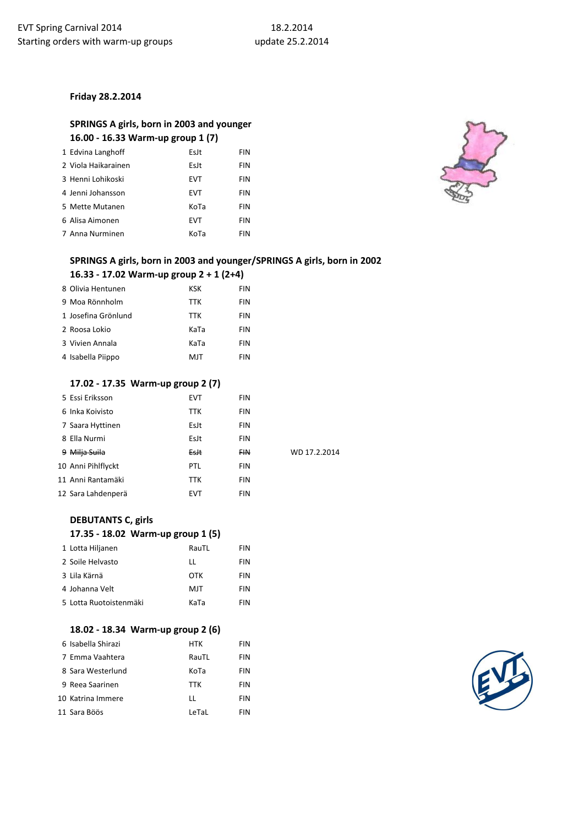#### **Friday 28.2.2014**

## **SPRINGS A girls, born in 2003 and younger 16.00 - 16.33 Warm-up group 1 (7)**

| 1 Edvina Langhoff   | EsJt       | <b>FIN</b> |
|---------------------|------------|------------|
| 2 Viola Haikarainen | EsJt       | <b>FIN</b> |
| 3 Henni Lohikoski   | <b>EVT</b> | FIN        |
| 4 Jenni Johansson   | <b>EVT</b> | <b>FIN</b> |
| 5 Mette Mutanen     | KoTa       | <b>FIN</b> |
| 6 Alisa Aimonen     | <b>EVT</b> | FIN        |
| 7 Anna Nurminen     | KoTa       | FIN        |



## **SPRINGS A girls, born in 2003 and younger/SPRINGS A girls, born in 2002**

#### **16.33 - 17.02 Warm-up group 2 + 1 (2+4)**

| 8 Olivia Hentunen   | <b>KSK</b> | <b>FIN</b> |
|---------------------|------------|------------|
| 9 Moa Rönnholm      | <b>TTK</b> | <b>FIN</b> |
| 1 Josefina Grönlund | <b>TTK</b> | <b>FIN</b> |
| 2 Roosa Lokio       | KaTa       | <b>FIN</b> |
| 3 Vivien Annala     | KaTa       | <b>FIN</b> |
| 4 Isabella Piippo   | MJT        | <b>FIN</b> |

#### **17.02 - 17.35 Warm-up group 2 (7)**

| 5 Essi Eriksson    | <b>EVT</b> | <b>FIN</b> |              |
|--------------------|------------|------------|--------------|
| 6 Inka Koivisto    | TTK        | <b>FIN</b> |              |
| 7 Saara Hyttinen   | EsJt       | <b>FIN</b> |              |
| 8 Ella Nurmi       | EsJt       | <b>FIN</b> |              |
| 9 Milja Suila      | Esit       | <b>FIN</b> | WD 17.2.2014 |
| 10 Anni Pihlflyckt | PTL        | <b>FIN</b> |              |
| 11 Anni Rantamäki  | TTK        | <b>FIN</b> |              |
| 12 Sara Lahdenperä | <b>EVT</b> | <b>FIN</b> |              |

# **DEBUTANTS C, girls**

#### **17.35 - 18.02 Warm-up group 1 (5)**

| 1 Lotta Hiljanen       | RauTL | <b>FIN</b> |
|------------------------|-------|------------|
| 2 Soile Helvasto       | п     | <b>FIN</b> |
| 3 Lila Kärnä           | OTK   | <b>FIN</b> |
| 4 Johanna Velt         | MJT   | <b>FIN</b> |
| 5 Lotta Ruotoistenmäki | KaTa  | <b>FIN</b> |

#### **18.02 - 18.34 Warm-up group 2 (6)**

| 6 Isabella Shirazi | <b>HTK</b> | <b>FIN</b> |
|--------------------|------------|------------|
| 7 Emma Vaahtera    | RauTL      | <b>FIN</b> |
| 8 Sara Westerlund  | KoTa       | <b>FIN</b> |
| 9 Reea Saarinen    | <b>TTK</b> | <b>FIN</b> |
| 10 Katrina Immere  | П          | <b>FIN</b> |
| 11 Sara Böös       | LeTaL      | FIN        |

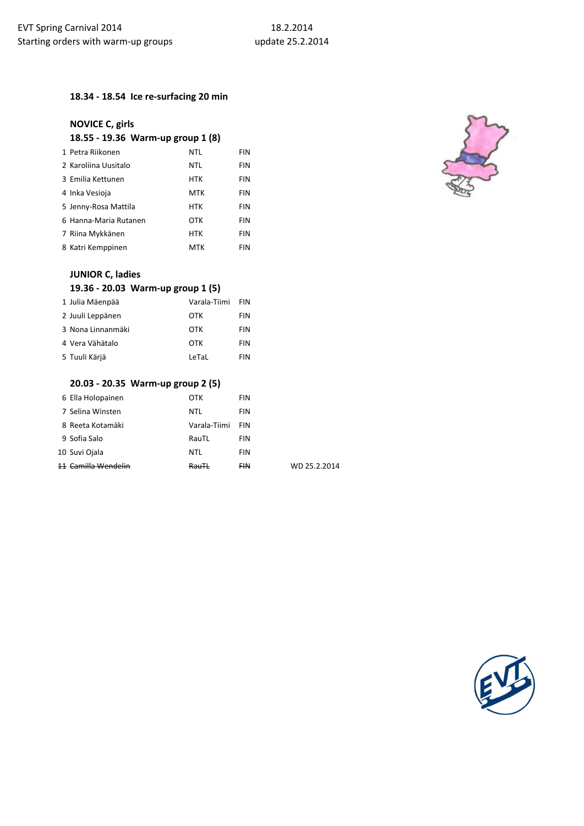## **18.34 - 18.54 Ice re-surfacing 20 min**

## **NOVICE C, girls 18.55 - 19.36 Warm-up group 1 (8)**

| 1 Petra Riikonen      | NTL        | FIN        |
|-----------------------|------------|------------|
| 2 Karoliina Uusitalo  | NTL        | <b>FIN</b> |
| 3 Emilia Kettunen     | <b>HTK</b> | <b>FIN</b> |
| 4 Inka Vesioja        | MTK        | <b>FIN</b> |
| 5 Jenny-Rosa Mattila  | <b>HTK</b> | <b>FIN</b> |
| 6 Hanna-Maria Rutanen | <b>OTK</b> | FIN        |
| 7 Riina Mykkänen      | <b>HTK</b> | FIN        |
| 8 Katri Kemppinen     | MTK        | FIN        |



## **JUNIOR C, ladies**

## **19.36 - 20.03 Warm-up group 1 (5)**

| 1 Julia Mäenpää   | Varala-Tiimi | <b>FIN</b> |
|-------------------|--------------|------------|
| 2 Juuli Leppänen  | OTK          | <b>FIN</b> |
| 3 Nona Linnanmäki | OTK          | <b>FIN</b> |
| 4 Vera Vähätalo   | OTK          | <b>FIN</b> |
| 5 Tuuli Kärjä     | LeTaL        | <b>FIN</b> |

### **20.03 - 20.35 Warm-up group 2 (5)**

| 6 Ella Holopainen             | ОТК              | <b>FIN</b> |              |
|-------------------------------|------------------|------------|--------------|
| 7 Selina Winsten              | NTL              | <b>FIN</b> |              |
| 8 Reeta Kotamäki              | Varala-Tiimi     | FIN        |              |
| 9 Sofia Salo                  | RauTL            | <b>FIN</b> |              |
| 10 Suvi Ojala                 | NTL              | <b>FIN</b> |              |
| . <del>Camilla Wendelin</del> | <del>RauTl</del> | <b>FIN</b> | WD 25.2.2014 |

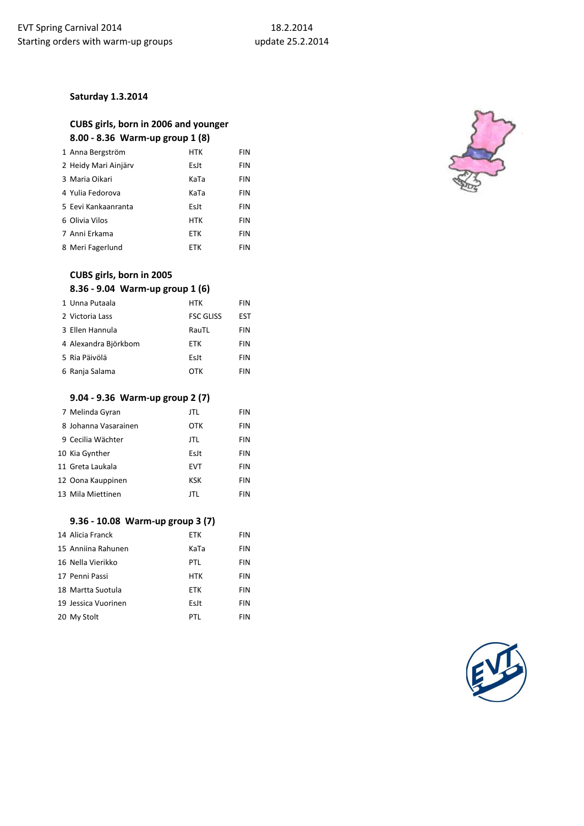#### **Saturday 1.3.2014**

## **CUBS girls, born in 2006 and younger 8.00 - 8.36 Warm-up group 1 (8)**

| 1 Anna Bergström     | <b>HTK</b> | FIN        |
|----------------------|------------|------------|
| 2 Heidy Mari Ainjärv | EsJt       | FIN        |
| 3 Maria Oikari       | KaTa       | <b>FIN</b> |
| 4 Yulia Fedorova     | KaTa       | FIN        |
| 5 Eevi Kankaanranta  | EsJt       | FIN        |
| 6 Olivia Vilos       | <b>HTK</b> | FIN        |
| 7 Anni Erkama        | <b>ETK</b> | FIN        |
| 8 Meri Fagerlund     | ETK        | FIN        |

# **CUBS girls, born in 2005**

## **8.36 - 9.04 Warm-up group 1 (6)**

| 1 Unna Putaala       | <b>HTK</b>       | <b>FIN</b> |
|----------------------|------------------|------------|
| 2 Victoria Lass      | <b>FSC GLISS</b> | <b>EST</b> |
| 3 Ellen Hannula      | RauTL            | <b>FIN</b> |
| 4 Alexandra Björkbom | ETK              | <b>FIN</b> |
| 5 Ria Päivölä        | EsJt             | <b>FIN</b> |
| 6 Ranja Salama       | OTK              | <b>FIN</b> |

#### **9.04 - 9.36 Warm-up group 2 (7)**

| 7 Melinda Gyran      | JTL        | <b>FIN</b> |
|----------------------|------------|------------|
| 8 Johanna Vasarainen | OTK        | <b>FIN</b> |
| 9 Cecilia Wächter    | JTL        | FIN        |
| 10 Kia Gynther       | EsJt       | <b>FIN</b> |
| 11 Greta Laukala     | <b>EVT</b> | <b>FIN</b> |
| 12 Oona Kauppinen    | <b>KSK</b> | <b>FIN</b> |
| 13 Mila Miettinen    | JTL        | <b>FIN</b> |
|                      |            |            |

#### **9.36 - 10.08 Warm-up group 3 (7)**

| 14 Alicia Franck    | <b>ETK</b> | FIN        |
|---------------------|------------|------------|
| 15 Anniina Rahunen  | KaTa       | <b>FIN</b> |
| 16 Nella Vierikko   | PTL        | <b>FIN</b> |
| 17 Penni Passi      | <b>HTK</b> | <b>FIN</b> |
| 18 Martta Suotula   | <b>ETK</b> | <b>FIN</b> |
| 19 Jessica Vuorinen | EsJt       | <b>FIN</b> |
| 20 My Stolt         | PTL        | <b>FIN</b> |



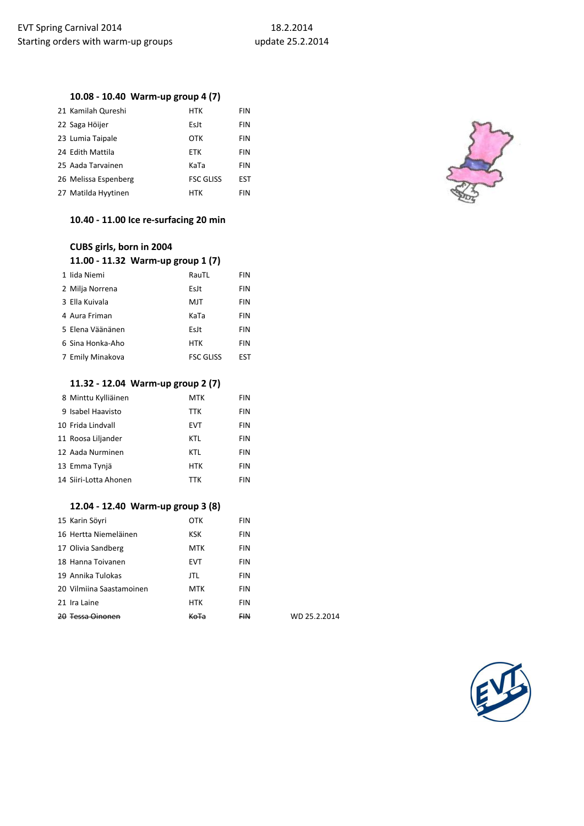## **10.08 - 10.40 Warm-up group 4 (7)**

| 21 Kamilah Qureshi   | <b>HTK</b>       | <b>FIN</b> |
|----------------------|------------------|------------|
| 22 Saga Höijer       | EsJt             | <b>FIN</b> |
| 23 Lumia Taipale     | OTK              | <b>FIN</b> |
| 24 Edith Mattila     | <b>ETK</b>       | <b>FIN</b> |
| 25 Aada Tarvainen    | KaTa             | <b>FIN</b> |
| 26 Melissa Espenberg | <b>FSC GLISS</b> | <b>EST</b> |
| 27 Matilda Hyytinen  | HTK              | <b>FIN</b> |

#### **10.40 - 11.00 Ice re-surfacing 20 min**

| CUBS girls, born in 2004          |                  |            |
|-----------------------------------|------------------|------------|
| 11.00 - 11.32 Warm-up group 1 (7) |                  |            |
| 1 lida Niemi                      | RauTL            | <b>FIN</b> |
| 2 Milja Norrena                   | EsJt             | <b>FIN</b> |
| 3 Ella Kuivala                    | MJT              | <b>FIN</b> |
| 4 Aura Friman                     | KaTa             | <b>FIN</b> |
| 5 Elena Väänänen                  | EsJt             | <b>FIN</b> |
| 6 Sina Honka-Aho                  | <b>HTK</b>       | <b>FIN</b> |
| 7 Emily Minakova                  | <b>FSC GLISS</b> | EST        |

#### **11.32 - 12.04 Warm-up group 2 (7)**

| 8 Minttu Kylliäinen   | MTK        | FIN |
|-----------------------|------------|-----|
| 9 Isabel Haavisto     | <b>TTK</b> | FIN |
| 10 Frida Lindvall     | <b>EVT</b> | FIN |
| 11 Roosa Liljander    | KTL        | FIN |
| 12 Aada Nurminen      | <b>KTL</b> | FIN |
| 13 Emma Tynjä         | HTK        | FIN |
| 14 Siiri-Lotta Ahonen | <b>TTK</b> | FIN |

## **12.04 - 12.40 Warm-up group 3 (8)**

| 15 Karin Söyri              | OTK        | FIN        |
|-----------------------------|------------|------------|
| 16 Hertta Niemeläinen       | <b>KSK</b> | <b>FIN</b> |
| 17 Olivia Sandberg          | <b>MTK</b> | <b>FIN</b> |
| 18 Hanna Toivanen           | <b>EVT</b> | <b>FIN</b> |
| 19 Annika Tulokas           | JTL        | <b>FIN</b> |
| 20 Vilmiina Saastamoinen    | <b>MTK</b> | <b>FIN</b> |
| 21 Ira Laine                | <b>HTK</b> | <b>FIN</b> |
| <del>20 Tessa Oinonen</del> |            | F₩         |

WD 25.2.2014



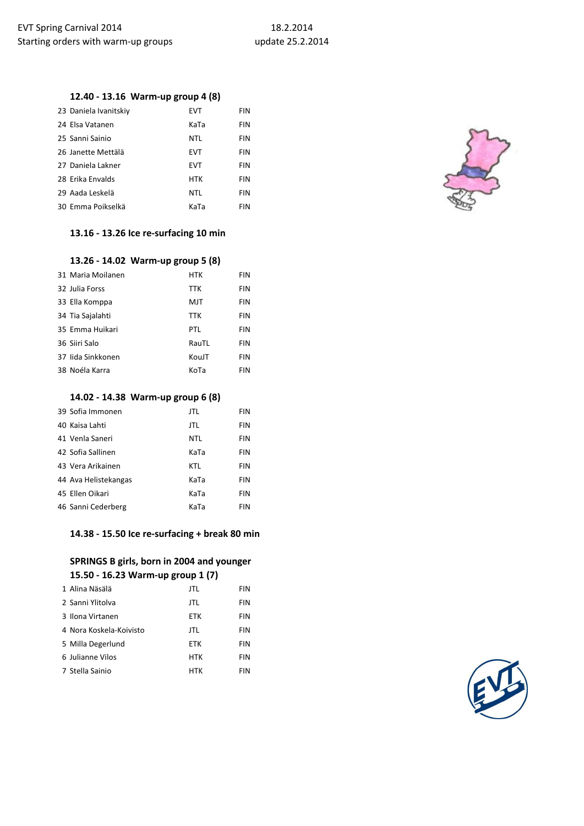## **12.40 - 13.16 Warm-up group 4 (8)**

| 23 Daniela Ivanitskiy | EVT        | FIN |
|-----------------------|------------|-----|
| 24 Elsa Vatanen       | KaTa       | FIN |
| 25 Sanni Sainio       | <b>NTL</b> | FIN |
| 26 Janette Mettälä    | <b>EVT</b> | FIN |
| 27 Daniela Lakner     | EVT        | FIN |
| 28 Erika Envalds      | <b>HTK</b> | FIN |
| 29 Aada Leskelä       | <b>NTL</b> | FIN |
| 30 Emma Poikselkä     | KaTa       | FIN |

# **13.16 - 13.26 Ice re-surfacing 10 min**

|                   | 13.26 - 14.02 Warm-up group 5 (8) |            |
|-------------------|-----------------------------------|------------|
| 31 Maria Moilanen | <b>HTK</b>                        | FIN        |
| 32 Julia Forss    | <b>TTK</b>                        | FIN        |
| 33 Ella Komppa    | MJT                               | <b>FIN</b> |
| 34 Tia Sajalahti  | <b>TTK</b>                        | FIN        |
| 35 Emma Huikari   | PTL                               | FIN        |
| 36 Siiri Salo     | RauTL                             | <b>FIN</b> |
| 37 lida Sinkkonen | KouJT                             | <b>FIN</b> |
| 38 Noéla Karra    | KoTa                              | FIN        |

### **14.02 - 14.38 Warm-up group 6 (8)**

| 39 Sofia Immonen     | <b>JTL</b> | FIN        |
|----------------------|------------|------------|
| 40 Kaisa Lahti       | <b>JTL</b> | FIN        |
| 41 Venla Saneri      | NTL        | FIN        |
| 42 Sofia Sallinen    | KaTa       | FIN        |
| 43 Vera Arikainen    | KTL        | FIN        |
| 44 Ava Helistekangas | KaTa       | FIN        |
| 45 Ellen Oikari      | KaTa       | FIN        |
| 46 Sanni Cederberg   | KaTa       | <b>FIN</b> |

#### **14.38 - 15.50 Ice re-surfacing + break 80 min**

## **SPRINGS B girls, born in 2004 and younger 15.50 - 16.23 Warm-up group 1 (7)**

| 1 Alina Näsälä          | JTL        | <b>FIN</b> |
|-------------------------|------------|------------|
| 2 Sanni Ylitolya        | JTL        | FIN        |
| 3 Ilona Virtanen        | <b>ETK</b> | <b>FIN</b> |
| 4 Nora Koskela-Koivisto | JTL        | FIN        |
| 5 Milla Degerlund       | <b>ETK</b> | FIN        |
| 6 Julianne Vilos        | <b>HTK</b> | <b>FIN</b> |
| 7 Stella Sainio         | HTK        | FIN        |



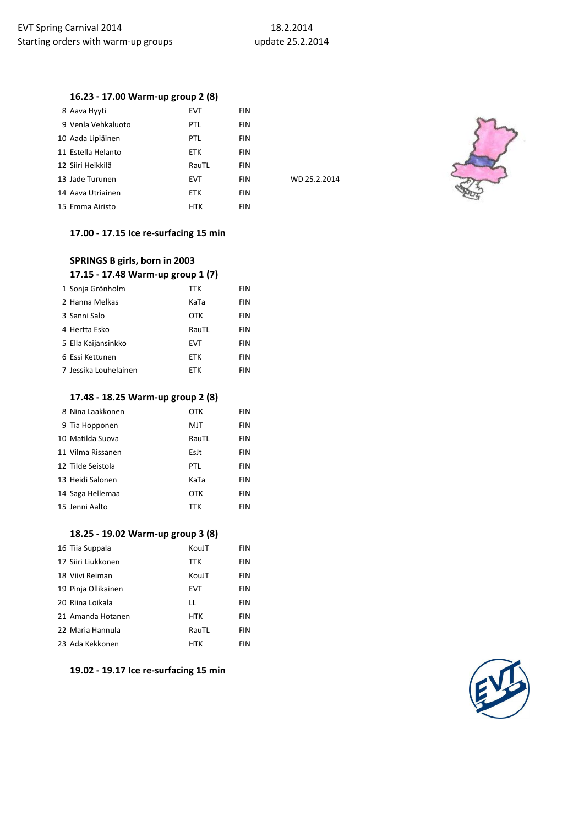WD 25.2.2014

## **16.23 - 17.00 Warm-up group 2 (8)**

| 8 Aava Hyyti               | <b>EVT</b>     | FIN        |
|----------------------------|----------------|------------|
| 9 Venla Vehkaluoto         | PTL            | FIN        |
| 10 Aada Lipiäinen          | PTL            | FIN        |
| 11 Estella Helanto         | <b>ETK</b>     | FIN        |
| 12 Siiri Heikkilä          | RauTL          | FIN        |
| <del>13 Jade Turunen</del> | <del>FVT</del> | <b>FIN</b> |
| 14 Aava Utriainen          | <b>ETK</b>     | FIN        |
| 15 Emma Airisto            | <b>HTK</b>     | FIN        |



## **17.00 - 17.15 Ice re-surfacing 15 min**

| SPRINGS B girls, born in 2003     |            |     |
|-----------------------------------|------------|-----|
| 17.15 - 17.48 Warm-up group 1 (7) |            |     |
| 1 Sonja Grönholm                  | <b>TTK</b> | FIN |
| 2 Hanna Melkas                    | KaTa       | FIN |
| 3 Sanni Salo                      | OTK        | FIN |
| 4 Hertta Esko                     | RauTL      | FIN |
| 5 Ella Kaijansinkko               | <b>FVT</b> | FIN |
| 6 Essi Kettunen                   | <b>FTK</b> | FIN |
| 7 Jessika Louhelainen             | FTK        | FIN |

#### **17.48 - 18.25 Warm-up group 2 (8)**

| 8 Nina Laakkonen  | OTK        | <b>FIN</b> |
|-------------------|------------|------------|
| 9 Tia Hopponen    | MJT        | <b>FIN</b> |
| 10 Matilda Suova  | RauTL      | <b>FIN</b> |
| 11 Vilma Rissanen | EsJt       | <b>FIN</b> |
| 12 Tilde Seistola | PTL        | <b>FIN</b> |
| 13 Heidi Salonen  | KaTa       | <b>FIN</b> |
| 14 Saga Hellemaa  | OTK        | <b>FIN</b> |
| 15 Jenni Aalto    | <b>TTK</b> | <b>FIN</b> |

#### **18.25 - 19.02 Warm-up group 3 (8)**

| 16 Tiia Suppala     | KouJT      | FIN        |
|---------------------|------------|------------|
| 17 Siiri Liukkonen  | <b>TTK</b> | FIN        |
| 18 Viivi Reiman     | KouJT      | FIN        |
| 19 Pinja Ollikainen | <b>EVT</b> | <b>FIN</b> |
| 20 Riina Loikala    | LL         | FIN        |
| 21 Amanda Hotanen   | <b>HTK</b> | <b>FIN</b> |
| 22 Maria Hannula    | RauTL      | <b>FIN</b> |
| 23 Ada Kekkonen     | <b>HTK</b> | FIN        |

**19.02 - 19.17 Ice re-surfacing 15 min**

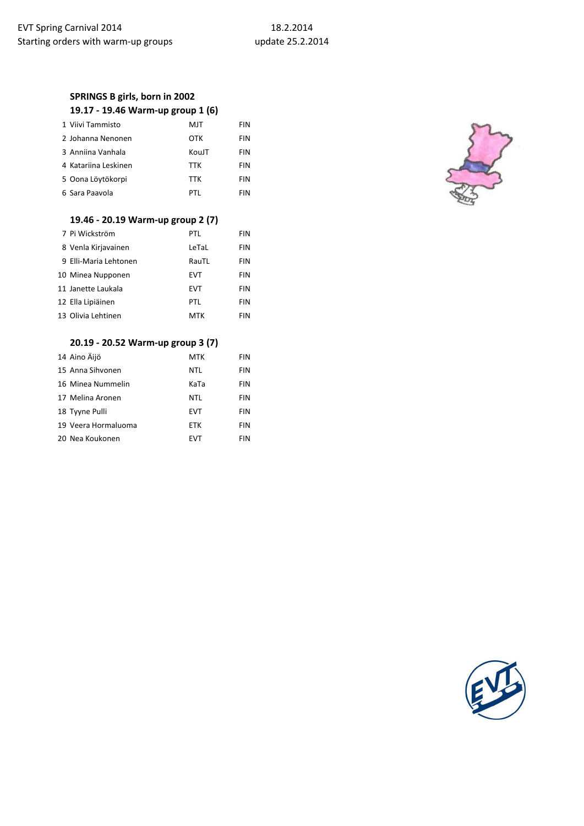# **SPRINGS B girls, born in 2002**

|  |  |  | 19.17 - 19.46 Warm-up group 1 (6) |  |  |  |  |
|--|--|--|-----------------------------------|--|--|--|--|
|--|--|--|-----------------------------------|--|--|--|--|

| 1 Viivi Tammisto     | MJT        | FIN        |
|----------------------|------------|------------|
| 2 Johanna Nenonen    | OTK        | <b>FIN</b> |
| 3 Anniina Vanhala    | KouJT      | <b>FIN</b> |
| 4 Katariina Leskinen | <b>TTK</b> | <b>FIN</b> |
| 5 Oona Löytökorpi    | <b>TTK</b> | <b>FIN</b> |
| 6 Sara Paavola       | PTI        | <b>FIN</b> |

#### **19.46 - 20.19 Warm-up group 2 (7)**

| 7 Pi Wickström        | PTL        | FIN |
|-----------------------|------------|-----|
| 8 Venla Kirjavainen   | LeTaL      | FIN |
| 9 Elli-Maria Lehtonen | RauTL      | FIN |
| 10 Minea Nupponen     | <b>EVT</b> | FIN |
| 11 Janette Laukala    | <b>EVT</b> | FIN |
| 12 Ella Lipiäinen     | PTL        | FIN |
| 13 Olivia Lehtinen    | <b>MTK</b> | FIN |

## **20.19 - 20.52 Warm-up group 3 (7)**

| 14 Aino Äijö        | <b>MTK</b> | <b>FIN</b> |
|---------------------|------------|------------|
| 15 Anna Sihvonen    | <b>NTL</b> | <b>FIN</b> |
| 16 Minea Nummelin   | KaTa       | FIN        |
| 17 Melina Aronen    | <b>NTL</b> | <b>FIN</b> |
| 18 Tyyne Pulli      | <b>EVT</b> | <b>FIN</b> |
| 19 Veera Hormaluoma | <b>ETK</b> | <b>FIN</b> |
| 20 Nea Koukonen     | EVT        | <b>FIN</b> |



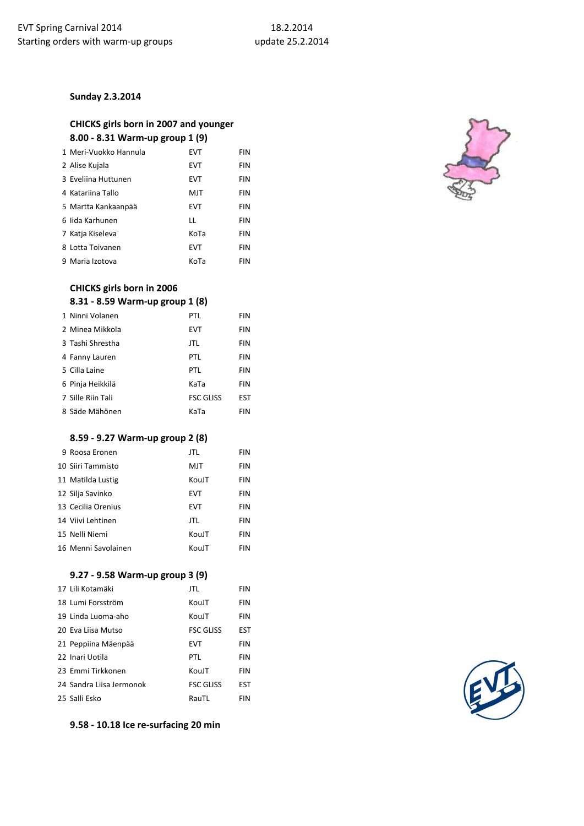### **Sunday 2.3.2014**

## **CHICKS girls born in 2007 and younger 8.00 - 8.31 Warm-up group 1 (9)**

| 1 Meri-Vuokko Hannula | EVT  | FIN        |
|-----------------------|------|------------|
| 2 Alise Kujala        | EVT  | FIN        |
| 3 Eveliina Huttunen   | EVT  | FIN        |
| 4 Katariina Tallo     | MJT  | FIN        |
| 5 Martta Kankaanpää   | EVT  | FIN        |
| 6 lida Karhunen       | LL   | FIN        |
| 7 Katja Kiseleva      | KoTa | FIN        |
| 8 Lotta Toivanen      | EVT  | FIN        |
| 9 Maria Izotova       | KoTa | <b>FIN</b> |

## **CHICKS girls born in 2006**

## **8.31 - 8.59 Warm-up group 1 (8)**

| 1 Ninni Volanen   | PTL              | FIN        |
|-------------------|------------------|------------|
| 2 Minea Mikkola   | <b>EVT</b>       | FIN        |
| 3 Tashi Shrestha  | JTL              | FIN        |
| 4 Fanny Lauren    | PTL              | FIN        |
| 5 Cilla Laine     | PTL              | <b>FIN</b> |
| 6 Pinja Heikkilä  | KaTa             | FIN        |
| 7 Sille Riin Tali | <b>FSC GLISS</b> | <b>EST</b> |
| 8 Säde Mähönen    | KaTa             | <b>FIN</b> |

#### **8.59 - 9.27 Warm-up group 2 (8)**

| 9 Roosa Eronen      | <b>JTL</b> | FIN        |
|---------------------|------------|------------|
| 10 Siiri Tammisto   | MJT        | FIN        |
| 11 Matilda Lustig   | KouJT      | FIN        |
| 12 Silja Savinko    | <b>EVT</b> | FIN        |
| 13 Cecilia Orenius  | <b>EVT</b> | FIN        |
| 14 Viivi Lehtinen   | JTL.       | FIN        |
| 15 Nelli Niemi      | KouJT      | FIN        |
| 16 Menni Savolainen | KouJT      | <b>FIN</b> |

#### **9.27 - 9.58 Warm-up group 3 (9)**

| 17 Lili Kotamäki         | JTL              | <b>FIN</b> |
|--------------------------|------------------|------------|
| 18 Lumi Forsström        | KouJT            | <b>FIN</b> |
| 19 Linda Luoma-aho       | KouJT            | <b>FIN</b> |
| 20 Eva Liisa Mutso       | <b>FSC GLISS</b> | <b>EST</b> |
| 21 Peppiina Mäenpää      | <b>EVT</b>       | <b>FIN</b> |
| 22 Inari Uotila          | PTL              | <b>FIN</b> |
| 23 Emmi Tirkkonen        | KouJT            | <b>FIN</b> |
| 24 Sandra Liisa Jermonok | <b>FSC GLISS</b> | <b>EST</b> |
| 25 Salli Esko            | RauTL            | <b>FIN</b> |

**9.58 - 10.18 Ice re-surfacing 20 min**



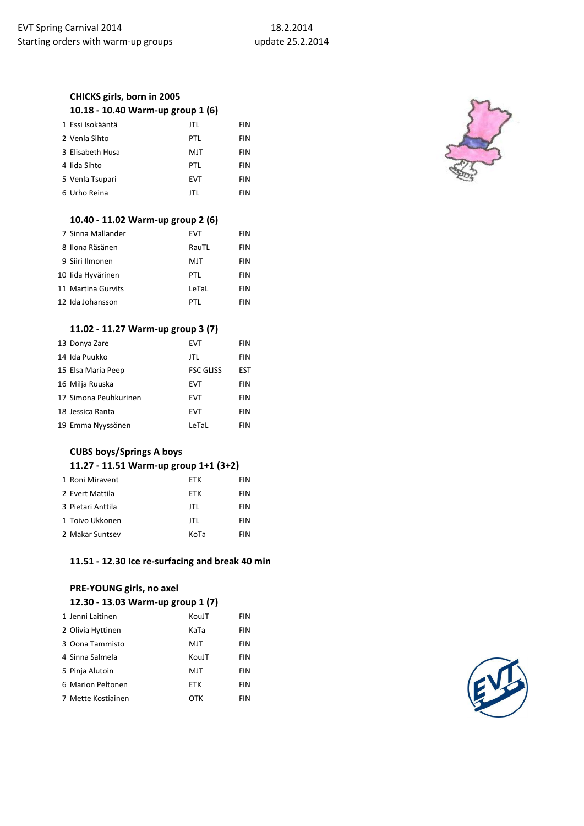## **CHICKS girls, born in 2005 10.18 - 10.40 Warm-up group 1 (6)**

| 1 Essi Isokääntä | <b>JTL</b> | <b>FIN</b> |
|------------------|------------|------------|
| 2 Venla Sihto    | PTL        | <b>FIN</b> |
| 3 Elisabeth Husa | MJT        | <b>FIN</b> |
| 4 lida Sihto     | PTL        | <b>FIN</b> |
| 5 Venla Tsupari  | <b>EVT</b> | <b>FIN</b> |
| 6 Urho Reina     | JTL        | <b>FIN</b> |
|                  |            |            |

## **10.40 - 11.02 Warm-up group 2 (6)**

| 7 Sinna Mallander  | EVT   | <b>FIN</b> |
|--------------------|-------|------------|
| 8 Ilona Räsänen    | RauTL | <b>FIN</b> |
| 9 Siiri Ilmonen    | MJT   | <b>FIN</b> |
| 10 lida Hyvärinen  | PTI   | <b>FIN</b> |
| 11 Martina Gurvits | LeTaL | <b>FIN</b> |
| 12 Ida Johansson   | PTI   | FIN        |

### **11.02 - 11.27 Warm-up group 3 (7)**

| 13 Donya Zare         | <b>EVT</b>       | <b>FIN</b> |
|-----------------------|------------------|------------|
| 14 Ida Puukko         | JTL              | FIN        |
| 15 Elsa Maria Peep    | <b>FSC GLISS</b> | EST        |
| 16 Milja Ruuska       | <b>EVT</b>       | <b>FIN</b> |
| 17 Simona Peuhkurinen | <b>EVT</b>       | FIN        |
| 18 Jessica Ranta      | <b>EVT</b>       | FIN        |
| 19 Emma Nyyssönen     | LeTaL            | FIN        |

### **CUBS boys/Springs A boys 11.27 - 11.51 Warm-up group 1+1 (3+2)**

| 1 Roni Miravent   | <b>FTK</b> | <b>FIN</b> |
|-------------------|------------|------------|
| 2 Evert Mattila   | ETK        | <b>FIN</b> |
| 3 Pietari Anttila | JTL        | <b>FIN</b> |
| 1 Toivo Ukkonen   | JTL        | <b>FIN</b> |
| 2 Makar Suntsey   | KoTa       | <b>FIN</b> |

#### **11.51 - 12.30 Ice re-surfacing and break 40 min**

## **PRE-YOUNG girls, no axel 12.30 - 13.03 Warm-up group 1 (7)**

| 1 Jenni Laitinen   | KouJT      | <b>FIN</b> |
|--------------------|------------|------------|
| 2 Olivia Hyttinen  | KaTa       | <b>FIN</b> |
| 3 Oona Tammisto    | MJT        | <b>FIN</b> |
| 4 Sinna Salmela    | KouJT      | <b>FIN</b> |
| 5 Pinja Alutoin    | MJT        | <b>FIN</b> |
| 6 Marion Peltonen  | <b>ETK</b> | FIN        |
| 7 Mette Kostiainen | OTK        | <b>FIN</b> |



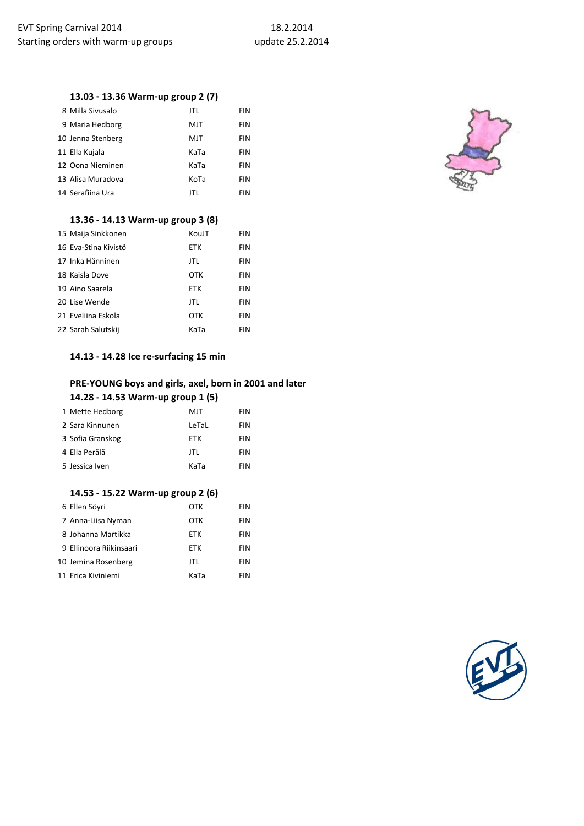## **13.03 - 13.36 Warm-up group 2 (7)**

| 8 Milla Sivusalo  | JTL  | FIN        |
|-------------------|------|------------|
| 9 Maria Hedborg   | MJT  | <b>FIN</b> |
| 10 Jenna Stenberg | MJT  | FIN        |
| 11 Ella Kujala    | KaTa | <b>FIN</b> |
| 12 Oona Nieminen  | KaTa | FIN        |
| 13 Alisa Muradova | KoTa | <b>FIN</b> |
| 14 Serafiina Ura  | JTL  | FIN        |
|                   |      |            |

#### **13.36 - 14.13 Warm-up group 3 (8)**

| 15 Maija Sinkkonen   | KouJT      | <b>FIN</b> |
|----------------------|------------|------------|
| 16 Eva-Stina Kivistö | <b>ETK</b> | FIN        |
| 17 Inka Hänninen     | JTL        | <b>FIN</b> |
| 18 Kaisla Dove       | OTK        | <b>FIN</b> |
| 19 Aino Saarela      | <b>ETK</b> | <b>FIN</b> |
| 20 Lise Wende        | JTL        | FIN        |
| 21 Eveliina Eskola   | OTK        | FIN        |
| 22 Sarah Salutskij   | KaTa       | <b>FIN</b> |

#### **14.13 - 14.28 Ice re-surfacing 15 min**

## **PRE-YOUNG boys and girls, axel, born in 2001 and later 14.28 - 14.53 Warm-up group 1 (5)**

| 1 Mette Hedborg  | MJT        | <b>FIN</b> |
|------------------|------------|------------|
| 2 Sara Kinnunen  | LeTaL      | <b>FIN</b> |
| 3 Sofia Granskog | <b>FTK</b> | <b>FIN</b> |
| 4 Ella Perälä    | JTL        | <b>FIN</b> |
| 5 Jessica Iven   | KaTa       | <b>FIN</b> |

## **14.53 - 15.22 Warm-up group 2 (6)**

| 6 Ellen Söyri           | OTK        | <b>FIN</b> |
|-------------------------|------------|------------|
| 7 Anna-Liisa Nyman      | OTK        | <b>FIN</b> |
| 8 Johanna Martikka      | <b>FTK</b> | <b>FIN</b> |
| 9 Ellinoora Riikinsaari | <b>ETK</b> | <b>FIN</b> |
| 10 Jemina Rosenberg     | JTL        | <b>FIN</b> |
| 11 Erica Kiviniemi      | KaTa       | <b>FIN</b> |